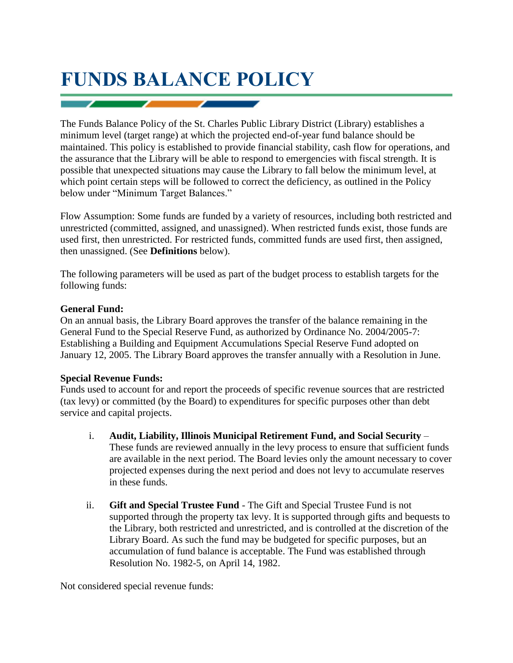# **FUNDS BALANCE POLICY**

The Funds Balance Policy of the St. Charles Public Library District (Library) establishes a minimum level (target range) at which the projected end-of-year fund balance should be maintained. This policy is established to provide financial stability, cash flow for operations, and the assurance that the Library will be able to respond to emergencies with fiscal strength. It is possible that unexpected situations may cause the Library to fall below the minimum level, at which point certain steps will be followed to correct the deficiency, as outlined in the Policy below under "Minimum Target Balances."

Flow Assumption: Some funds are funded by a variety of resources, including both restricted and unrestricted (committed, assigned, and unassigned). When restricted funds exist, those funds are used first, then unrestricted. For restricted funds, committed funds are used first, then assigned, then unassigned. (See **Definitions** below).

The following parameters will be used as part of the budget process to establish targets for the following funds:

### **General Fund:**

On an annual basis, the Library Board approves the transfer of the balance remaining in the General Fund to the Special Reserve Fund, as authorized by Ordinance No. 2004/2005-7: Establishing a Building and Equipment Accumulations Special Reserve Fund adopted on January 12, 2005. The Library Board approves the transfer annually with a Resolution in June.

### **Special Revenue Funds:**

Funds used to account for and report the proceeds of specific revenue sources that are restricted (tax levy) or committed (by the Board) to expenditures for specific purposes other than debt service and capital projects.

- i. **Audit, Liability, Illinois Municipal Retirement Fund, and Social Security** These funds are reviewed annually in the levy process to ensure that sufficient funds are available in the next period. The Board levies only the amount necessary to cover projected expenses during the next period and does not levy to accumulate reserves in these funds.
- ii. **Gift and Special Trustee Fund** The Gift and Special Trustee Fund is not supported through the property tax levy. It is supported through gifts and bequests to the Library, both restricted and unrestricted, and is controlled at the discretion of the Library Board. As such the fund may be budgeted for specific purposes, but an accumulation of fund balance is acceptable. The Fund was established through Resolution No. 1982-5, on April 14, 1982.

Not considered special revenue funds: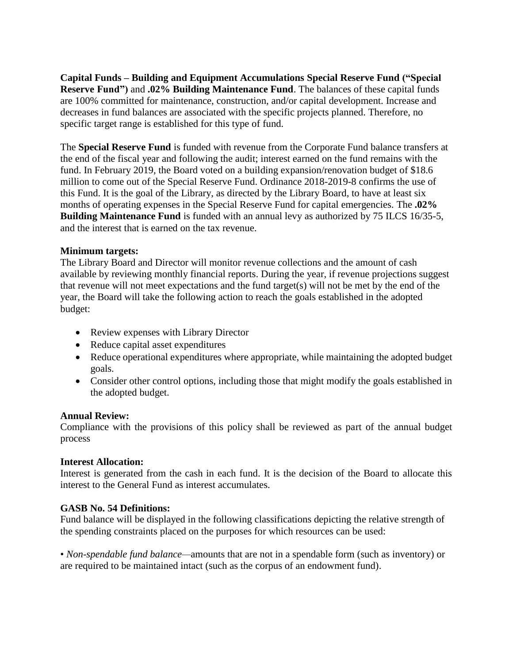**Capital Funds – Building and Equipment Accumulations Special Reserve Fund ("Special Reserve Fund")** and **.02% Building Maintenance Fund**. The balances of these capital funds are 100% committed for maintenance, construction, and/or capital development. Increase and decreases in fund balances are associated with the specific projects planned. Therefore, no specific target range is established for this type of fund.

The **Special Reserve Fund** is funded with revenue from the Corporate Fund balance transfers at the end of the fiscal year and following the audit; interest earned on the fund remains with the fund. In February 2019, the Board voted on a building expansion/renovation budget of \$18.6 million to come out of the Special Reserve Fund. Ordinance 2018-2019-8 confirms the use of this Fund. It is the goal of the Library, as directed by the Library Board, to have at least six months of operating expenses in the Special Reserve Fund for capital emergencies. The **.02% Building Maintenance Fund** is funded with an annual levy as authorized by 75 ILCS 16/35-5, and the interest that is earned on the tax revenue.

### **Minimum targets:**

The Library Board and Director will monitor revenue collections and the amount of cash available by reviewing monthly financial reports. During the year, if revenue projections suggest that revenue will not meet expectations and the fund target(s) will not be met by the end of the year, the Board will take the following action to reach the goals established in the adopted budget:

- Review expenses with Library Director
- Reduce capital asset expenditures
- Reduce operational expenditures where appropriate, while maintaining the adopted budget goals.
- Consider other control options, including those that might modify the goals established in the adopted budget.

### **Annual Review:**

Compliance with the provisions of this policy shall be reviewed as part of the annual budget process

### **Interest Allocation:**

Interest is generated from the cash in each fund. It is the decision of the Board to allocate this interest to the General Fund as interest accumulates.

## **GASB No. 54 Definitions:**

Fund balance will be displayed in the following classifications depicting the relative strength of the spending constraints placed on the purposes for which resources can be used:

• *Non-spendable fund balance—*amounts that are not in a spendable form (such as inventory) or are required to be maintained intact (such as the corpus of an endowment fund).